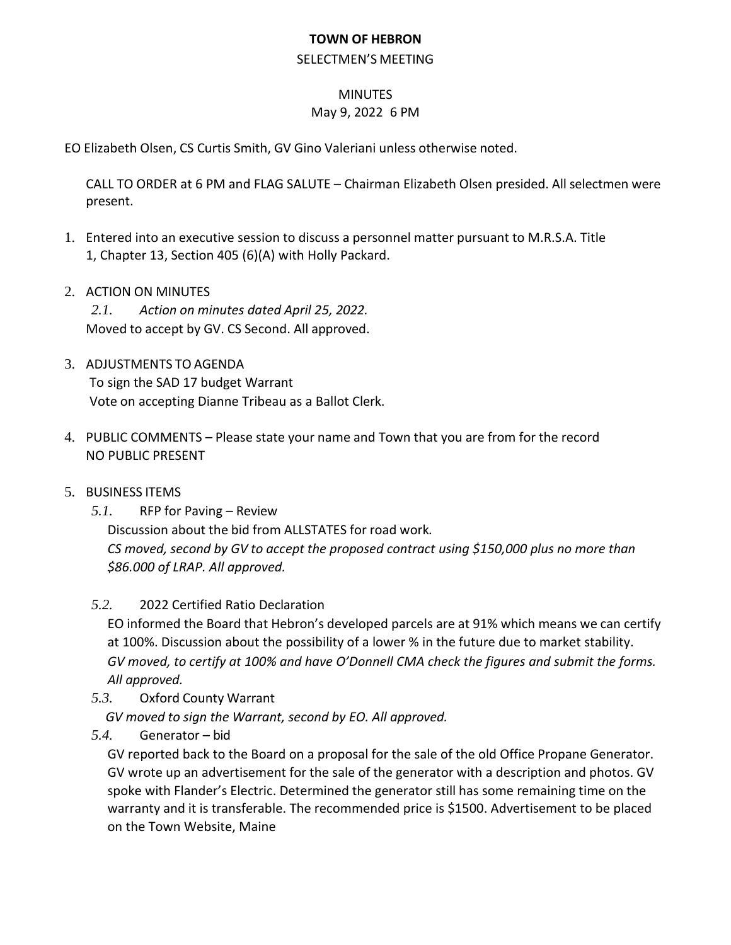#### **TOWN OF HEBRON**

#### SELECTMEN'S MEETING

# **MINUTES**

# May 9, 2022 6 PM

EO Elizabeth Olsen, CS Curtis Smith, GV Gino Valeriani unless otherwise noted.

CALL TO ORDER at 6 PM and FLAG SALUTE – Chairman Elizabeth Olsen presided. All selectmen were present.

- 1. Entered into an executive session to discuss a personnel matter pursuant to M.R.S.A. Title 1, Chapter 13, Section 405 (6)(A) with Holly Packard.
- 2. ACTION ON MINUTES

*2.1. Action on minutes dated April 25, 2022.* Moved to accept by GV. CS Second. All approved.

- 3. ADJUSTMENTS TO AGENDA To sign the SAD 17 budget Warrant Vote on accepting Dianne Tribeau as a Ballot Clerk.
- 4. PUBLIC COMMENTS Please state your name and Town that you are from for the record NO PUBLIC PRESENT
- 5. BUSINESS ITEMS
	- *5.1.* RFP for Paving Review Discussion about the bid from ALLSTATES for road work*. CS moved, second by GV to accept the proposed contract using \$150,000 plus no more than \$86.000 of LRAP. All approved.*
	- *5.2.* 2022 Certified Ratio Declaration

EO informed the Board that Hebron's developed parcels are at 91% which means we can certify at 100%. Discussion about the possibility of a lower % in the future due to market stability. *GV moved, to certify at 100% and have O'Donnell CMA check the figures and submit the forms. All approved.*

*5.3.* Oxford County Warrant

*GV moved to sign the Warrant, second by EO. All approved.*

*5.4.* Generator – bid

GV reported back to the Board on a proposal for the sale of the old Office Propane Generator. GV wrote up an advertisement for the sale of the generator with a description and photos. GV spoke with Flander's Electric. Determined the generator still has some remaining time on the warranty and it is transferable. The recommended price is \$1500. Advertisement to be placed on the Town Website, Maine